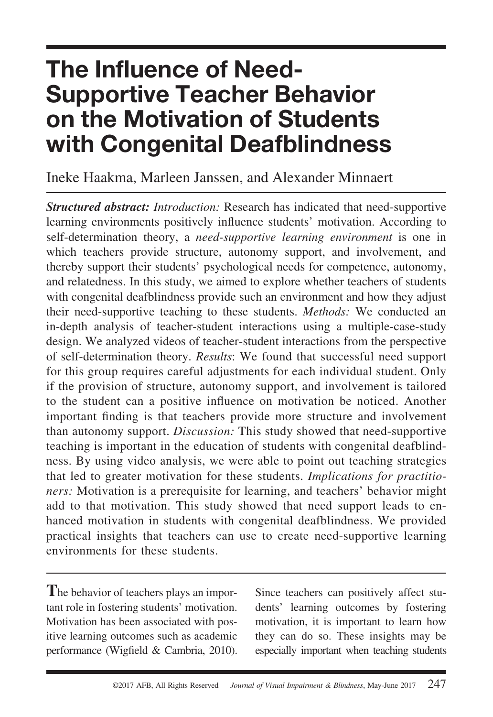# **The Influence of Need-Supportive Teacher Behavior on the Motivation of Students with Congenital Deafblindness**

Ineke Haakma, Marleen Janssen, and Alexander Minnaert

*Structured abstract: Introduction:* Research has indicated that need-supportive learning environments positively influence students' motivation. According to self-determination theory, a *need-supportive learning environment* is one in which teachers provide structure, autonomy support, and involvement, and thereby support their students' psychological needs for competence, autonomy, and relatedness. In this study, we aimed to explore whether teachers of students with congenital deafblindness provide such an environment and how they adjust their need-supportive teaching to these students. *Methods:* We conducted an in-depth analysis of teacher-student interactions using a multiple-case-study design. We analyzed videos of teacher-student interactions from the perspective of self-determination theory. *Results*: We found that successful need support for this group requires careful adjustments for each individual student. Only if the provision of structure, autonomy support, and involvement is tailored to the student can a positive influence on motivation be noticed. Another important finding is that teachers provide more structure and involvement than autonomy support. *Discussion:* This study showed that need-supportive teaching is important in the education of students with congenital deafblindness. By using video analysis, we were able to point out teaching strategies that led to greater motivation for these students. *Implications for practitioners:* Motivation is a prerequisite for learning, and teachers' behavior might add to that motivation. This study showed that need support leads to enhanced motivation in students with congenital deafblindness. We provided practical insights that teachers can use to create need-supportive learning environments for these students.

**T**he behavior of teachers plays an important role in fostering students' motivation. Motivation has been associated with positive learning outcomes such as academic performance (Wigfield & Cambria, 2010).

Since teachers can positively affect students' learning outcomes by fostering motivation, it is important to learn how they can do so. These insights may be especially important when teaching students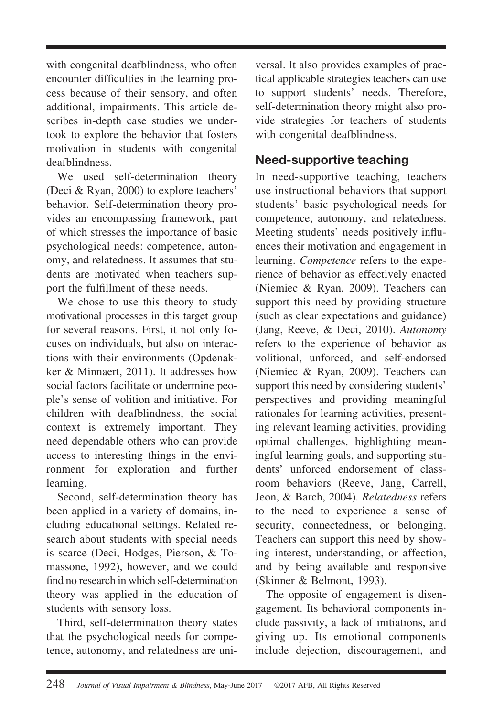with congenital deafblindness, who often encounter difficulties in the learning process because of their sensory, and often additional, impairments. This article describes in-depth case studies we undertook to explore the behavior that fosters motivation in students with congenital deafblindness.

We used self-determination theory (Deci & Ryan, 2000) to explore teachers' behavior. Self-determination theory provides an encompassing framework, part of which stresses the importance of basic psychological needs: competence, autonomy, and relatedness. It assumes that students are motivated when teachers support the fulfillment of these needs.

We chose to use this theory to study motivational processes in this target group for several reasons. First, it not only focuses on individuals, but also on interactions with their environments (Opdenakker & Minnaert, 2011). It addresses how social factors facilitate or undermine people's sense of volition and initiative. For children with deafblindness, the social context is extremely important. They need dependable others who can provide access to interesting things in the environment for exploration and further learning.

Second, self-determination theory has been applied in a variety of domains, including educational settings. Related research about students with special needs is scarce (Deci, Hodges, Pierson, & Tomassone, 1992), however, and we could find no research in which self-determination theory was applied in the education of students with sensory loss.

Third, self-determination theory states that the psychological needs for competence, autonomy, and relatedness are universal. It also provides examples of practical applicable strategies teachers can use to support students' needs. Therefore, self-determination theory might also provide strategies for teachers of students with congenital deafblindness.

# **Need-supportive teaching**

In need-supportive teaching, teachers use instructional behaviors that support students' basic psychological needs for competence, autonomy, and relatedness. Meeting students' needs positively influences their motivation and engagement in learning. *Competence* refers to the experience of behavior as effectively enacted (Niemiec & Ryan, 2009). Teachers can support this need by providing structure (such as clear expectations and guidance) (Jang, Reeve, & Deci, 2010). *Autonomy* refers to the experience of behavior as volitional, unforced, and self-endorsed (Niemiec & Ryan, 2009). Teachers can support this need by considering students' perspectives and providing meaningful rationales for learning activities, presenting relevant learning activities, providing optimal challenges, highlighting meaningful learning goals, and supporting students' unforced endorsement of classroom behaviors (Reeve, Jang, Carrell, Jeon, & Barch, 2004). *Relatedness* refers to the need to experience a sense of security, connectedness, or belonging. Teachers can support this need by showing interest, understanding, or affection, and by being available and responsive (Skinner & Belmont, 1993).

The opposite of engagement is disengagement. Its behavioral components include passivity, a lack of initiations, and giving up. Its emotional components include dejection, discouragement, and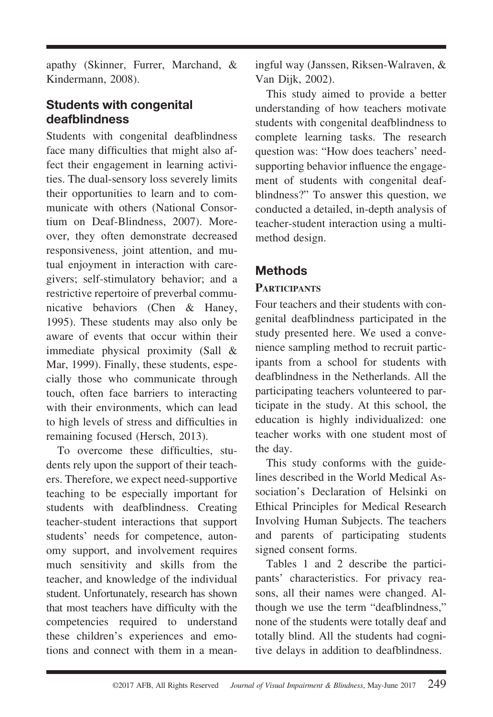apathy (Skinner, Furrer, Marchand, & Kindermann, 2008).

### **Students with congenital deafblindness**

Students with congenital deafblindness face many difficulties that might also affect their engagement in learning activities. The dual-sensory loss severely limits their opportunities to learn and to communicate with others (National Consortium on Deaf-Blindness, 2007). Moreover, they often demonstrate decreased responsiveness, joint attention, and mutual enjoyment in interaction with caregivers; self-stimulatory behavior; and a restrictive repertoire of preverbal communicative behaviors (Chen & Haney, 1995). These students may also only be aware of events that occur within their immediate physical proximity (Sall & Mar, 1999). Finally, these students, especially those who communicate through touch, often face barriers to interacting with their environments, which can lead to high levels of stress and difficulties in remaining focused (Hersch, 2013).

To overcome these difficulties, students rely upon the support of their teachers. Therefore, we expect need-supportive teaching to be especially important for students with deafblindness. Creating teacher-student interactions that support students' needs for competence, autonomy support, and involvement requires much sensitivity and skills from the teacher, and knowledge of the individual student. Unfortunately, research has shown that most teachers have difficulty with the competencies required to understand these children's experiences and emotions and connect with them in a meaningful way (Janssen, Riksen-Walraven, & Van Dijk, 2002).

This study aimed to provide a better understanding of how teachers motivate students with congenital deafblindness to complete learning tasks. The research question was: "How does teachers' needsupporting behavior influence the engagement of students with congenital deafblindness?" To answer this question, we conducted a detailed, in-depth analysis of teacher-student interaction using a multimethod design.

# **Methods**

#### **PARTICIPANTS**

Four teachers and their students with congenital deafblindness participated in the study presented here. We used a convenience sampling method to recruit participants from a school for students with deafblindness in the Netherlands. All the participating teachers volunteered to participate in the study. At this school, the education is highly individualized: one teacher works with one student most of the day.

This study conforms with the guidelines described in the World Medical Association's Declaration of Helsinki on Ethical Principles for Medical Research Involving Human Subjects. The teachers and parents of participating students signed consent forms.

Tables 1 and 2 describe the participants' characteristics. For privacy reasons, all their names were changed. Although we use the term "deafblindness," none of the students were totally deaf and totally blind. All the students had cognitive delays in addition to deafblindness.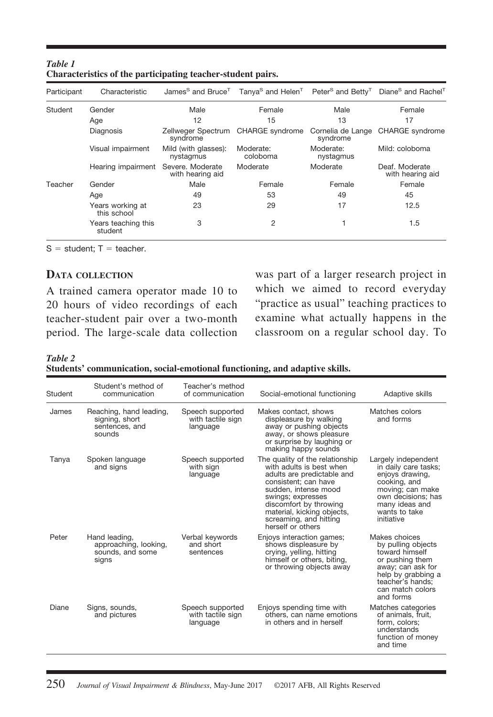| Participant | Characteristic                  | James <sup>S</sup> and Bruce <sup>T</sup> |                       |                               | Tanya <sup>S</sup> and Helen <sup>T</sup> Peter <sup>S</sup> and Betty <sup>T</sup> Diane <sup>S</sup> and Rachel <sup>T</sup> |
|-------------|---------------------------------|-------------------------------------------|-----------------------|-------------------------------|--------------------------------------------------------------------------------------------------------------------------------|
| Student     | Gender                          | Male                                      | Female                | Male                          | Female                                                                                                                         |
|             | Age                             | 12                                        | 15                    | 13                            | 17                                                                                                                             |
|             | Diagnosis                       | Zellweger Spectrum<br>syndrome            | CHARGE syndrome       | Cornelia de Lange<br>syndrome | <b>CHARGE</b> svndrome                                                                                                         |
|             | Visual impairment               | Mild (with glasses):<br>nystagmus         | Moderate:<br>coloboma | Moderate:<br>nystagmus        | Mild: coloboma                                                                                                                 |
|             | Hearing impairment              | Severe, Moderate<br>with hearing aid      | Moderate              | Moderate                      | Deaf. Moderate<br>with hearing aid                                                                                             |
| Teacher     | Gender                          | Male                                      | Female                | Female                        | Female                                                                                                                         |
|             | Age                             | 49                                        | 53                    | 49                            | 45                                                                                                                             |
|             | Years working at<br>this school | 23                                        | 29                    | 17                            | 12.5                                                                                                                           |
|             | Years teaching this<br>student  | 3                                         | 2                     |                               | 1.5                                                                                                                            |

#### *Table 1* **Characteristics of the participating teacher-student pairs.**

 $S = student$ ; T = teacher.

20 hours of video recordings of each "practice as usual" teaching practices to teacher-student pair over a two-month examine what actually happens in the teacher-student pair over a two-month period. The large-scale data collection classroom on a regular school day. To

**DATA COLLECTION** was part of a larger research project in A trained camera operator made 10 to which we aimed to record everyday<br>20 hours of video recordings of each "practice as usual" teaching practices to

*Table 2*

**Students' communication, social-emotional functioning, and adaptive skills.**

| Student | Student's method of<br>communication                                  | Teacher's method<br>of communication              | Social-emotional functioning                                                                                                                                                                                                                                          | Adaptive skills                                                                                                                                                           |
|---------|-----------------------------------------------------------------------|---------------------------------------------------|-----------------------------------------------------------------------------------------------------------------------------------------------------------------------------------------------------------------------------------------------------------------------|---------------------------------------------------------------------------------------------------------------------------------------------------------------------------|
| James   | Reaching, hand leading,<br>signing, short<br>sentences, and<br>sounds | Speech supported<br>with tactile sign<br>language | Makes contact, shows<br>displeasure by walking<br>away or pushing objects<br>away, or shows pleasure<br>or surprise by laughing or<br>making happy sounds                                                                                                             | Matches colors<br>and forms                                                                                                                                               |
| Tanya   | Spoken language<br>and signs                                          | Speech supported<br>with sign<br>language         | The quality of the relationship<br>with adults is best when<br>adults are predictable and<br>consistent: can have<br>sudden, intense mood<br>swings; expresses<br>discomfort by throwing<br>material, kicking objects,<br>screaming, and hitting<br>herself or others | Largely independent<br>in daily care tasks;<br>enjoys drawing,<br>cooking, and<br>moving; can make<br>own decisions; has<br>many ideas and<br>wants to take<br>initiative |
| Peter   | Hand leading,<br>approaching, looking,<br>sounds, and some<br>signs   | Verbal keywords<br>and short<br>sentences         | Enjoys interaction games;<br>shows displeasure by<br>crying, yelling, hitting<br>himself or others, biting,<br>or throwing objects away                                                                                                                               | Makes choices<br>by pulling objects<br>toward himself<br>or pushing them<br>away; can ask for<br>help by grabbing a<br>teacher's hands:<br>can match colors<br>and forms  |
| Diane   | Signs, sounds,<br>and pictures                                        | Speech supported<br>with tactile sign<br>language | Enjoys spending time with<br>others, can name emotions<br>in others and in herself                                                                                                                                                                                    | Matches categories<br>of animals, fruit.<br>form, colors;<br>understands<br>function of money<br>and time                                                                 |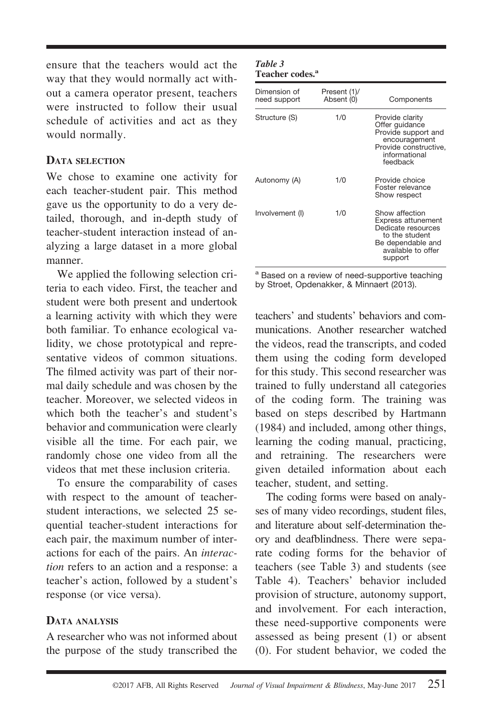ensure that the teachers would act the way that they would normally act without a camera operator present, teachers were instructed to follow their usual schedule of activities and act as they would normally.

#### **DATA SELECTION**

We chose to examine one activity for each teacher-student pair. This method gave us the opportunity to do a very detailed, thorough, and in-depth study of teacher-student interaction instead of analyzing a large dataset in a more global manner.

We applied the following selection criteria to each video. First, the teacher and student were both present and undertook a learning activity with which they were both familiar. To enhance ecological validity, we chose prototypical and representative videos of common situations. The filmed activity was part of their normal daily schedule and was chosen by the teacher. Moreover, we selected videos in which both the teacher's and student's behavior and communication were clearly visible all the time. For each pair, we randomly chose one video from all the videos that met these inclusion criteria.

To ensure the comparability of cases with respect to the amount of teacherstudent interactions, we selected 25 sequential teacher-student interactions for each pair, the maximum number of interactions for each of the pairs. An *interaction* refers to an action and a response: a teacher's action, followed by a student's response (or vice versa).

#### **DATA ANALYSIS**

A researcher who was not informed about the purpose of the study transcribed the

#### *Table 3* **Teacher codes.<sup>a</sup>**

| Dimension of<br>need support | Present (1)/<br>Absent (0) | Components                                                                                                                                |
|------------------------------|----------------------------|-------------------------------------------------------------------------------------------------------------------------------------------|
| Structure (S)                | 1/0                        | Provide clarity<br>Offer guidance<br>Provide support and<br>encouragement<br>Provide constructive,<br>informational<br>feedback           |
| Autonomy (A)                 | 1/0                        | Provide choice<br>Foster relevance<br>Show respect                                                                                        |
| Involvement (I)              | 1/0                        | Show affection<br><b>Express attunement</b><br>Dedicate resources<br>to the student<br>Be dependable and<br>available to offer<br>support |

a Based on a review of need-supportive teaching by Stroet, Opdenakker, & Minnaert (2013).

teachers' and students' behaviors and communications. Another researcher watched the videos, read the transcripts, and coded them using the coding form developed for this study. This second researcher was trained to fully understand all categories of the coding form. The training was based on steps described by Hartmann (1984) and included, among other things, learning the coding manual, practicing, and retraining. The researchers were given detailed information about each teacher, student, and setting.

The coding forms were based on analyses of many video recordings, student files, and literature about self-determination theory and deafblindness. There were separate coding forms for the behavior of teachers (see Table 3) and students (see Table 4). Teachers' behavior included provision of structure, autonomy support, and involvement. For each interaction, these need-supportive components were assessed as being present (1) or absent (0). For student behavior, we coded the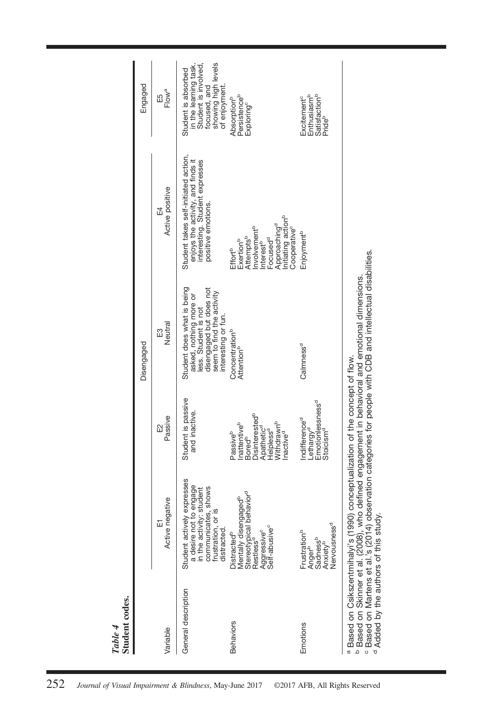|                     |                                                                                                                                                                                     |                                                                                                                                                                                                  | Disengaged                                                                                                                                                  |                                                                                                                                                                                                                                           | Engaged                                                                                                                      |
|---------------------|-------------------------------------------------------------------------------------------------------------------------------------------------------------------------------------|--------------------------------------------------------------------------------------------------------------------------------------------------------------------------------------------------|-------------------------------------------------------------------------------------------------------------------------------------------------------------|-------------------------------------------------------------------------------------------------------------------------------------------------------------------------------------------------------------------------------------------|------------------------------------------------------------------------------------------------------------------------------|
| Variable            | tive<br>Active negat<br>冚                                                                                                                                                           | Passive<br>₩                                                                                                                                                                                     | Neutral<br>E3                                                                                                                                               | Active positive<br>E4                                                                                                                                                                                                                     | E5<br>Flow <sup>a</sup>                                                                                                      |
| General description | Student actively expresses<br>a desire not to engage<br>in the activity: student<br>shows<br>frustration, or is<br>communicates,<br>distracted                                      | Student is passive<br>and inactive.                                                                                                                                                              | Student does what is being<br>disengaged but does not<br>seem to find the activity<br>asked, nothing more or<br>less. Student is not<br>interesting or fun. | Student takes self-initiated action,<br>enjoys the activity, and finds it<br>interesting. Student expresses<br>positive emotions.                                                                                                         | showing high levels<br>in the learning task.<br>Student is involved,<br>Student is absorbed<br>focused, and<br>of enjoyment. |
| <b>Behaviors</b>    | Stereotypical behavior <sup>d</sup><br>Restless <sup>d</sup><br>Mentally disengaged <sup>b</sup><br>Aggressive <sup>c</sup><br>Self-abusive <sup>c</sup><br>Distracted <sup>b</sup> | <b>Disinterested</b> <sup>b</sup><br><b>Nithdrawn</b> b<br>Inattentive <sup>b</sup><br>Bored <sup>b</sup><br>Apathetic <sup>d</sup><br>Helpless <sup>d</sup><br>nactive <sup>d</sup><br>Passiveb | Concentration <sup>b</sup><br>Attention <sup>b</sup>                                                                                                        | nitiating action <sup>b</sup><br>Approaching <sup>d</sup><br>Cooperative <sup>c</sup><br>nvolvement <sup>b</sup><br>Attempts <sup>b</sup><br>Focused <sup>d</sup><br>Exertion <sup>b</sup><br>nterest <sup>b</sup><br>Effort <sup>b</sup> | Persistenceb<br>Absorption <sup>b</sup><br>Exploring <sup>c</sup>                                                            |
| Emotions            | Sadness <sup>b</sup><br>Anxiety <sup>b</sup><br>Nervousness <sup>d</sup><br>Frustration <sup>b</sup><br>Anger <sup>b</sup>                                                          | Emotionlessness <sup>d</sup><br>Stoicism <sup>d</sup><br>Indifference <sup>d</sup><br>-ethargy <sup>d</sup>                                                                                      | Calmness <sup>d</sup>                                                                                                                                       | Enjoyment <sup>b</sup>                                                                                                                                                                                                                    | Enthusiasm <sup>b</sup><br>Satisfaction <sup>b</sup><br>Pride <sup>b</sup><br>Excitement <sup>e</sup>                        |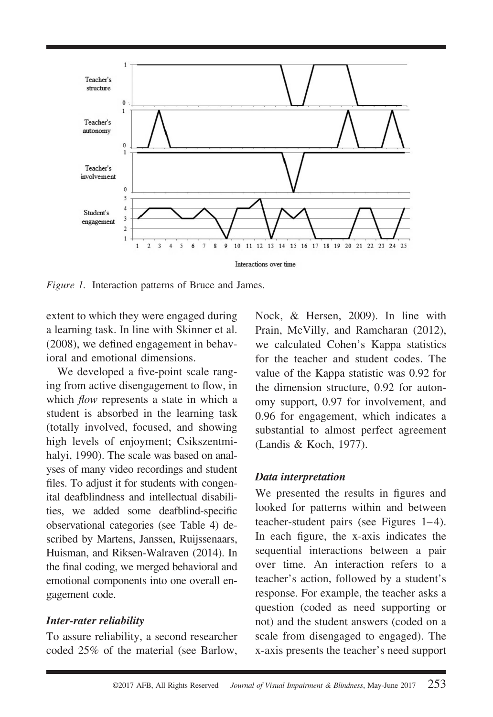

*Figure 1.* Interaction patterns of Bruce and James.

extent to which they were engaged during a learning task. In line with Skinner et al. (2008), we defined engagement in behavioral and emotional dimensions.

We developed a five-point scale ranging from active disengagement to flow, in which *flow* represents a state in which a student is absorbed in the learning task (totally involved, focused, and showing high levels of enjoyment; Csikszentmihalyi, 1990). The scale was based on analyses of many video recordings and student files. To adjust it for students with congenital deafblindness and intellectual disabilities, we added some deafblind-specific observational categories (see Table 4) described by Martens, Janssen, Ruijssenaars, Huisman, and Riksen-Walraven (2014). In the final coding, we merged behavioral and emotional components into one overall engagement code.

#### *Inter-rater reliability*

To assure reliability, a second researcher coded 25% of the material (see Barlow,

Nock, & Hersen, 2009). In line with Prain, McVilly, and Ramcharan (2012), we calculated Cohen's Kappa statistics for the teacher and student codes. The value of the Kappa statistic was 0.92 for the dimension structure, 0.92 for autonomy support, 0.97 for involvement, and 0.96 for engagement, which indicates a substantial to almost perfect agreement (Landis & Koch, 1977).

#### *Data interpretation*

We presented the results in figures and looked for patterns within and between teacher-student pairs (see Figures 1–4). In each figure, the x-axis indicates the sequential interactions between a pair over time. An interaction refers to a teacher's action, followed by a student's response. For example, the teacher asks a question (coded as need supporting or not) and the student answers (coded on a scale from disengaged to engaged). The x-axis presents the teacher's need support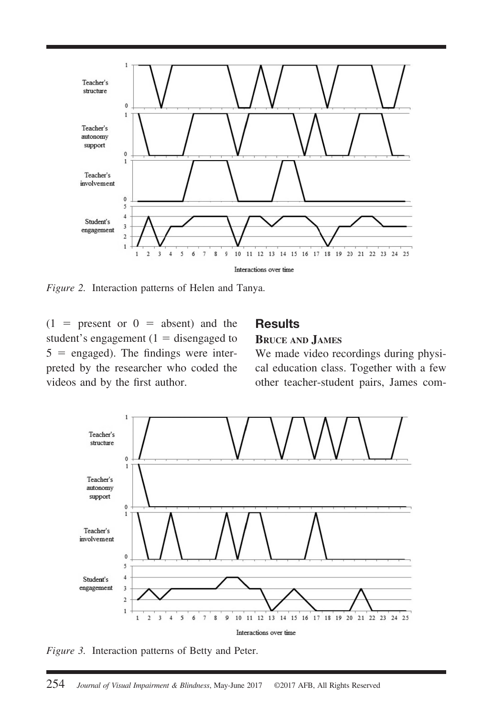

*Figure 2.* Interaction patterns of Helen and Tanya.

 $(1$  = present or  $0$  = absent) and the **Results** student's engagement (1 = disengaged to **BRUCE AND JAMES**  $5 =$  engaged). The findings were inter-<br>We made video recordings during physi-

preted by the researcher who coded the cal education class. Together with a few videos and by the first author. other teacher-student pairs, James com-



*Figure 3.* Interaction patterns of Betty and Peter.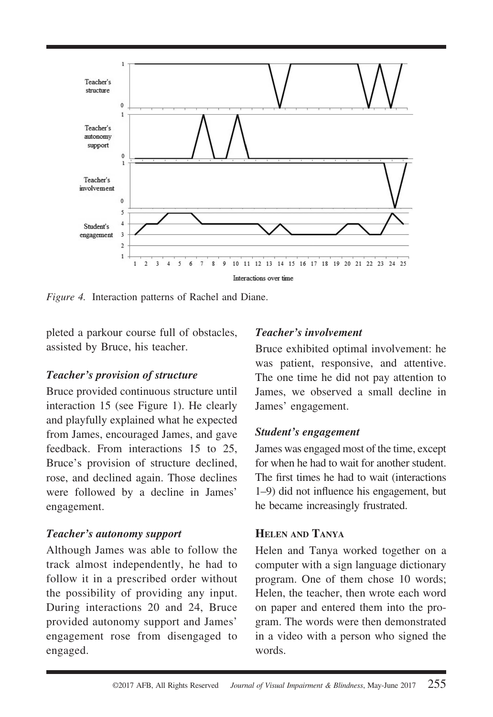

*Figure 4.* Interaction patterns of Rachel and Diane.

pleted a parkour course full of obstacles, assisted by Bruce, his teacher.

#### *Teacher's provision of structure*

Bruce provided continuous structure until interaction 15 (see Figure 1). He clearly and playfully explained what he expected from James, encouraged James, and gave feedback. From interactions 15 to 25, Bruce's provision of structure declined, rose, and declined again. Those declines were followed by a decline in James' engagement.

#### *Teacher's autonomy support*

Although James was able to follow the track almost independently, he had to follow it in a prescribed order without the possibility of providing any input. During interactions 20 and 24, Bruce provided autonomy support and James' engagement rose from disengaged to engaged.

#### *Teacher's involvement*

Bruce exhibited optimal involvement: he was patient, responsive, and attentive. The one time he did not pay attention to James, we observed a small decline in James' engagement.

#### *Student's engagement*

James was engaged most of the time, except for when he had to wait for another student. The first times he had to wait (interactions 1–9) did not influence his engagement, but he became increasingly frustrated.

#### **HELEN AND TANYA**

Helen and Tanya worked together on a computer with a sign language dictionary program. One of them chose 10 words; Helen, the teacher, then wrote each word on paper and entered them into the program. The words were then demonstrated in a video with a person who signed the words.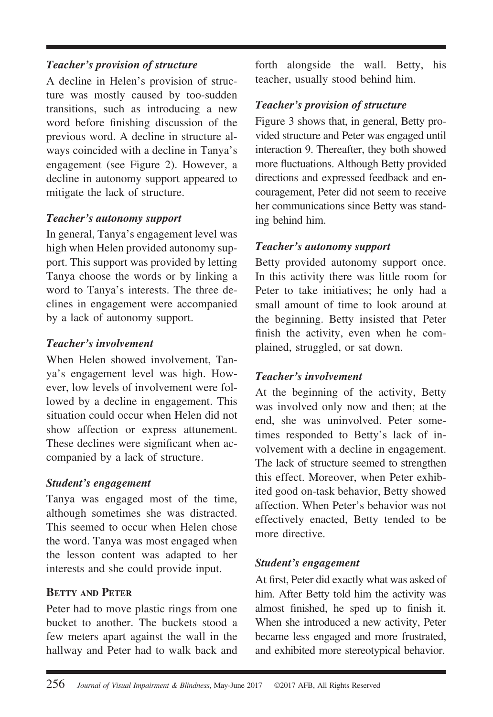#### *Teacher's provision of structure*

A decline in Helen's provision of structure was mostly caused by too-sudden transitions, such as introducing a new word before finishing discussion of the previous word. A decline in structure always coincided with a decline in Tanya's engagement (see Figure 2). However, a decline in autonomy support appeared to mitigate the lack of structure.

#### *Teacher's autonomy support*

In general, Tanya's engagement level was high when Helen provided autonomy support. This support was provided by letting Tanya choose the words or by linking a word to Tanya's interests. The three declines in engagement were accompanied by a lack of autonomy support.

#### *Teacher's involvement*

When Helen showed involvement, Tanya's engagement level was high. However, low levels of involvement were followed by a decline in engagement. This situation could occur when Helen did not show affection or express attunement. These declines were significant when accompanied by a lack of structure.

#### *Student's engagement*

Tanya was engaged most of the time, although sometimes she was distracted. This seemed to occur when Helen chose the word. Tanya was most engaged when the lesson content was adapted to her interests and she could provide input.

#### **BETTY AND PETER**

Peter had to move plastic rings from one bucket to another. The buckets stood a few meters apart against the wall in the hallway and Peter had to walk back and forth alongside the wall. Betty, his teacher, usually stood behind him.

### *Teacher's provision of structure*

Figure 3 shows that, in general, Betty provided structure and Peter was engaged until interaction 9. Thereafter, they both showed more fluctuations. Although Betty provided directions and expressed feedback and encouragement, Peter did not seem to receive her communications since Betty was standing behind him.

#### *Teacher's autonomy support*

Betty provided autonomy support once. In this activity there was little room for Peter to take initiatives; he only had a small amount of time to look around at the beginning. Betty insisted that Peter finish the activity, even when he complained, struggled, or sat down.

#### *Teacher's involvement*

At the beginning of the activity, Betty was involved only now and then; at the end, she was uninvolved. Peter sometimes responded to Betty's lack of involvement with a decline in engagement. The lack of structure seemed to strengthen this effect. Moreover, when Peter exhibited good on-task behavior, Betty showed affection. When Peter's behavior was not effectively enacted, Betty tended to be more directive.

#### *Student's engagement*

At first, Peter did exactly what was asked of him. After Betty told him the activity was almost finished, he sped up to finish it. When she introduced a new activity, Peter became less engaged and more frustrated, and exhibited more stereotypical behavior.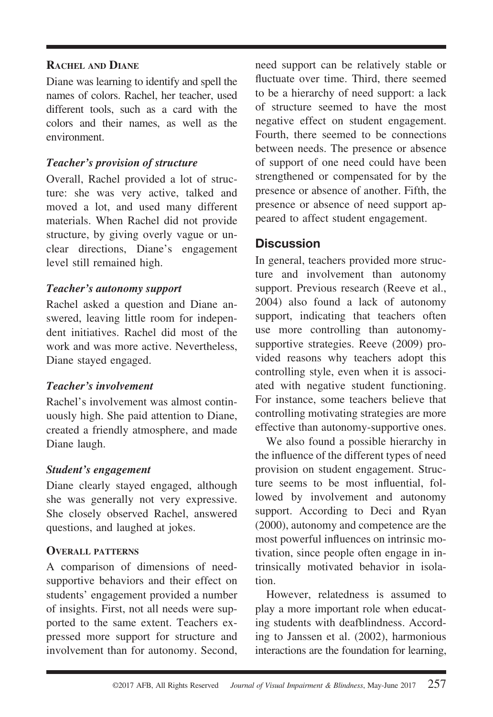#### **RACHEL AND DIANE**

Diane was learning to identify and spell the names of colors. Rachel, her teacher, used different tools, such as a card with the colors and their names, as well as the environment.

#### *Teacher's provision of structure*

Overall, Rachel provided a lot of structure: she was very active, talked and moved a lot, and used many different materials. When Rachel did not provide structure, by giving overly vague or unclear directions, Diane's engagement level still remained high.

#### *Teacher's autonomy support*

Rachel asked a question and Diane answered, leaving little room for independent initiatives. Rachel did most of the work and was more active. Nevertheless, Diane stayed engaged.

#### *Teacher's involvement*

Rachel's involvement was almost continuously high. She paid attention to Diane, created a friendly atmosphere, and made Diane laugh.

#### *Student's engagement*

Diane clearly stayed engaged, although she was generally not very expressive. She closely observed Rachel, answered questions, and laughed at jokes.

#### **OVERALL PATTERNS**

A comparison of dimensions of needsupportive behaviors and their effect on students' engagement provided a number of insights. First, not all needs were supported to the same extent. Teachers expressed more support for structure and involvement than for autonomy. Second,

need support can be relatively stable or fluctuate over time. Third, there seemed to be a hierarchy of need support: a lack of structure seemed to have the most negative effect on student engagement. Fourth, there seemed to be connections between needs. The presence or absence of support of one need could have been strengthened or compensated for by the presence or absence of another. Fifth, the presence or absence of need support appeared to affect student engagement.

### **Discussion**

In general, teachers provided more structure and involvement than autonomy support. Previous research (Reeve et al., 2004) also found a lack of autonomy support, indicating that teachers often use more controlling than autonomysupportive strategies. Reeve (2009) provided reasons why teachers adopt this controlling style, even when it is associated with negative student functioning. For instance, some teachers believe that controlling motivating strategies are more effective than autonomy-supportive ones.

We also found a possible hierarchy in the influence of the different types of need provision on student engagement. Structure seems to be most influential, followed by involvement and autonomy support. According to Deci and Ryan (2000), autonomy and competence are the most powerful influences on intrinsic motivation, since people often engage in intrinsically motivated behavior in isolation.

However, relatedness is assumed to play a more important role when educating students with deafblindness. According to Janssen et al. (2002), harmonious interactions are the foundation for learning,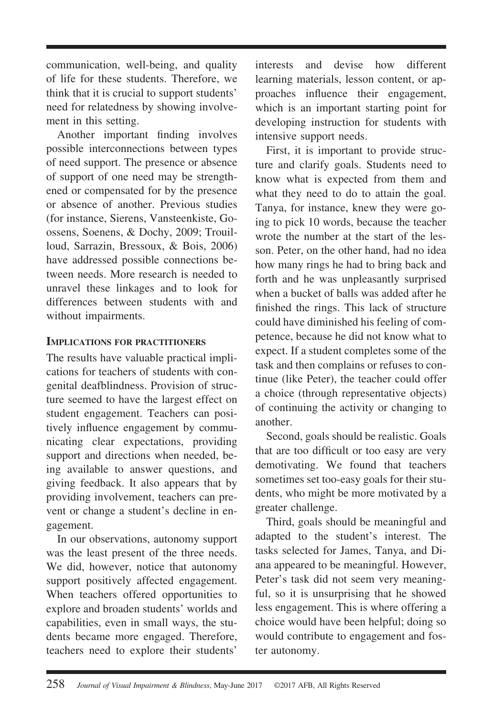communication, well-being, and quality of life for these students. Therefore, we think that it is crucial to support students' need for relatedness by showing involvement in this setting.

Another important finding involves possible interconnections between types of need support. The presence or absence of support of one need may be strengthened or compensated for by the presence or absence of another. Previous studies (for instance, Sierens, Vansteenkiste, Goossens, Soenens, & Dochy, 2009; Trouilloud, Sarrazin, Bressoux, & Bois, 2006) have addressed possible connections between needs. More research is needed to unravel these linkages and to look for differences between students with and without impairments.

#### **IMPLICATIONS FOR PRACTITIONERS**

The results have valuable practical implications for teachers of students with congenital deafblindness. Provision of structure seemed to have the largest effect on student engagement. Teachers can positively influence engagement by communicating clear expectations, providing support and directions when needed, being available to answer questions, and giving feedback. It also appears that by providing involvement, teachers can prevent or change a student's decline in engagement.

In our observations, autonomy support was the least present of the three needs. We did, however, notice that autonomy support positively affected engagement. When teachers offered opportunities to explore and broaden students' worlds and capabilities, even in small ways, the students became more engaged. Therefore, teachers need to explore their students'

interests and devise how different learning materials, lesson content, or approaches influence their engagement, which is an important starting point for developing instruction for students with intensive support needs.

First, it is important to provide structure and clarify goals. Students need to know what is expected from them and what they need to do to attain the goal. Tanya, for instance, knew they were going to pick 10 words, because the teacher wrote the number at the start of the lesson. Peter, on the other hand, had no idea how many rings he had to bring back and forth and he was unpleasantly surprised when a bucket of balls was added after he finished the rings. This lack of structure could have diminished his feeling of competence, because he did not know what to expect. If a student completes some of the task and then complains or refuses to continue (like Peter), the teacher could offer a choice (through representative objects) of continuing the activity or changing to another.

Second, goals should be realistic. Goals that are too difficult or too easy are very demotivating. We found that teachers sometimes set too-easy goals for their students, who might be more motivated by a greater challenge.

Third, goals should be meaningful and adapted to the student's interest. The tasks selected for James, Tanya, and Diana appeared to be meaningful. However, Peter's task did not seem very meaningful, so it is unsurprising that he showed less engagement. This is where offering a choice would have been helpful; doing so would contribute to engagement and foster autonomy.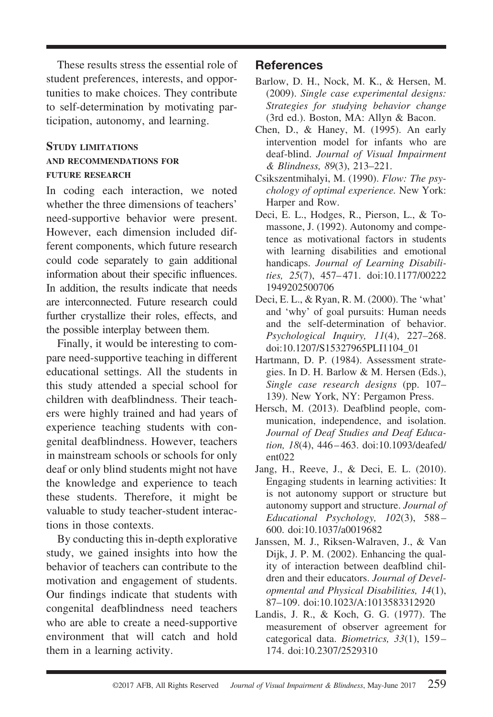These results stress the essential role of student preferences, interests, and opportunities to make choices. They contribute to self-determination by motivating participation, autonomy, and learning.

#### **STUDY LIMITATIONS AND RECOMMENDATIONS FOR FUTURE RESEARCH**

In coding each interaction, we noted whether the three dimensions of teachers' need-supportive behavior were present. However, each dimension included different components, which future research could code separately to gain additional information about their specific influences. In addition, the results indicate that needs are interconnected. Future research could further crystallize their roles, effects, and the possible interplay between them.

Finally, it would be interesting to compare need-supportive teaching in different educational settings. All the students in this study attended a special school for children with deafblindness. Their teachers were highly trained and had years of experience teaching students with congenital deafblindness. However, teachers in mainstream schools or schools for only deaf or only blind students might not have the knowledge and experience to teach these students. Therefore, it might be valuable to study teacher-student interactions in those contexts.

By conducting this in-depth explorative study, we gained insights into how the behavior of teachers can contribute to the motivation and engagement of students. Our findings indicate that students with congenital deafblindness need teachers who are able to create a need-supportive environment that will catch and hold them in a learning activity.

#### **References**

- Barlow, D. H., Nock, M. K., & Hersen, M. (2009). *Single case experimental designs: Strategies for studying behavior change* (3rd ed.). Boston, MA: Allyn & Bacon.
- Chen, D., & Haney, M. (1995). An early intervention model for infants who are deaf-blind. *Journal of Visual Impairment & Blindness, 89*(3), 213–221.
- Csikszentmihalyi, M. (1990). *Flow: The psychology of optimal experience.* New York: Harper and Row.
- Deci, E. L., Hodges, R., Pierson, L., & Tomassone, J. (1992). Autonomy and competence as motivational factors in students with learning disabilities and emotional handicaps. *Journal of Learning Disabilities, 25*(7), 457– 471. doi:10.1177/00222 1949202500706
- Deci, E. L., & Ryan, R. M. (2000). The 'what' and 'why' of goal pursuits: Human needs and the self-determination of behavior. *Psychological Inquiry, 11*(4), 227–268. doi:10.1207/S15327965PLI1104\_01
- Hartmann, D. P. (1984). Assessment strategies. In D. H. Barlow & M. Hersen (Eds.), *Single case research designs* (pp. 107– 139). New York, NY: Pergamon Press.
- Hersch, M. (2013). Deafblind people, communication, independence, and isolation. *Journal of Deaf Studies and Deaf Education, 18*(4), 446–463. doi:10.1093/deafed/ ent022
- Jang, H., Reeve, J., & Deci, E. L. (2010). Engaging students in learning activities: It is not autonomy support or structure but autonomy support and structure. *Journal of Educational Psychology, 102*(3), 588– 600. doi:10.1037/a0019682
- Janssen, M. J., Riksen-Walraven, J., & Van Dijk, J. P. M. (2002). Enhancing the quality of interaction between deafblind children and their educators. *Journal of Developmental and Physical Disabilities, 14*(1), 87–109. doi:10.1023/A:1013583312920
- Landis, J. R., & Koch, G. G. (1977). The measurement of observer agreement for categorical data. *Biometrics, 33*(1), 159– 174. doi:10.2307/2529310